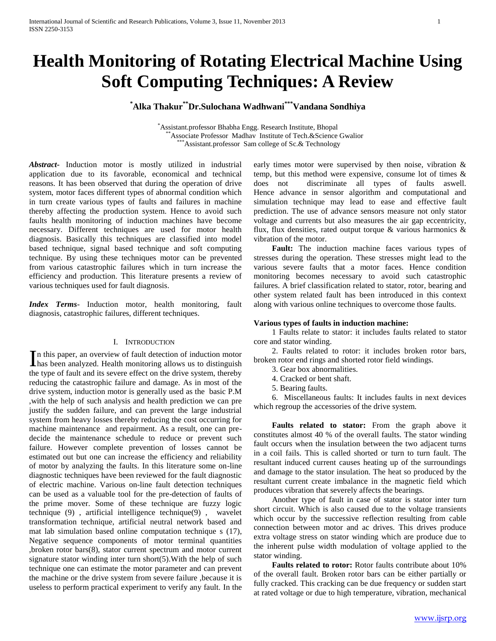# **Health Monitoring of Rotating Electrical Machine Using Soft Computing Techniques: A Review**

# **\*Alka Thakur\*\*Dr.Sulochana Wadhwani\*\*\*Vandana Sondhiya**

\*Assistant.professor Bhabha Engg. Research Institute, Bhopal \*Associate Professor Madhav Institute of Tech.&Science Gwalior  $*$ Assistant.professor Sam college of Sc. $&$  Technology

*Abstract***-** Induction motor is mostly utilized in industrial application due to its favorable, economical and technical reasons. It has been observed that during the operation of drive system, motor faces different types of abnormal condition which in turn create various types of faults and failures in machine thereby affecting the production system. Hence to avoid such faults health monitoring of induction machines have become necessary. Different techniques are used for motor health diagnosis. Basically this techniques are classified into model based technique, signal based technique and soft computing technique. By using these techniques motor can be prevented from various catastrophic failures which in turn increase the efficiency and production. This literature presents a review of various techniques used for fault diagnosis.

*Index Terms*- Induction motor, health monitoring, fault diagnosis, catastrophic failures, different techniques.

### I. INTRODUCTION

n this paper, an overview of fault detection of induction motor In this paper, an overview of fault detection of induction motor<br>has been analyzed. Health monitoring allows us to distinguish the type of fault and its severe effect on the drive system, thereby reducing the catastrophic failure and damage. As in most of the drive system, induction motor is generally used as the basic P.M ,with the help of such analysis and health prediction we can pre justify the sudden failure, and can prevent the large industrial system from heavy losses thereby reducing the cost occurring for machine maintenance and repairment. As a result, one can predecide the maintenance schedule to reduce or prevent such failure. However complete prevention of losses cannot be estimated out but one can increase the efficiency and reliability of motor by analyzing the faults. In this literature some on-line diagnostic techniques have been reviewed for the fault diagnostic of electric machine. Various on-line fault detection techniques can be used as a valuable tool for the pre-detection of faults of the prime mover. Some of these technique are fuzzy logic technique (9) , artificial intelligence technique(9) , wavelet transformation technique, artificial neutral network based and mat lab simulation based online computation technique s (17), Negative sequence components of motor terminal quantities ,broken rotor bars(8), stator current spectrum and motor current signature stator winding inter turn short(5). With the help of such technique one can estimate the motor parameter and can prevent the machine or the drive system from severe failure ,because it is useless to perform practical experiment to verify any fault. In the

early times motor were supervised by then noise, vibration & temp, but this method were expensive, consume lot of times & does not discriminate all types of faults aswell. Hence advance in sensor algorithm and computational and simulation technique may lead to ease and effective fault prediction. The use of advance sensors measure not only stator voltage and currents but also measures the air gap eccentricity, flux, flux densities, rated output torque  $\&$  various harmonics  $\&$ vibration of the motor.

 **Fault:** The induction machine faces various types of stresses during the operation. These stresses might lead to the various severe faults that a motor faces. Hence condition monitoring becomes necessary to avoid such catastrophic failures. A brief classification related to stator, rotor, bearing and other system related fault has been introduced in this context along with various online techniques to overcome those faults.

#### **Various types of faults in induction machine:**

1 Faults relate to stator: it includes faults related to stator core and stator winding.

2. Faults related to rotor: it includes broken rotor bars, broken rotor end rings and shorted rotor field windings.

3. Gear box abnormalities.

- 4. Cracked or bent shaft.
- 5. Bearing faults.

6. Miscellaneous faults: It includes faults in next devices which regroup the accessories of the drive system.

 **Faults related to stator:** From the graph above it constitutes almost 40 % of the overall faults. The stator winding fault occurs when the insulation between the two adjacent turns in a coil fails. This is called shorted or turn to turn fault. The resultant induced current causes heating up of the surroundings and damage to the stator insulation. The heat so produced by the resultant current create imbalance in the magnetic field which produces vibration that severely affects the bearings.

Another type of fault in case of stator is stator inter turn short circuit. Which is also caused due to the voltage transients which occur by the successive reflection resulting from cable connection between motor and ac drives. This drives produce extra voltage stress on stator winding which are produce due to the inherent pulse width modulation of voltage applied to the stator winding.

 **Faults related to rotor:** Rotor faults contribute about 10% of the overall fault. Broken rotor bars can be either partially or fully cracked. This cracking can be due frequency or sudden start at rated voltage or due to high temperature, vibration, mechanical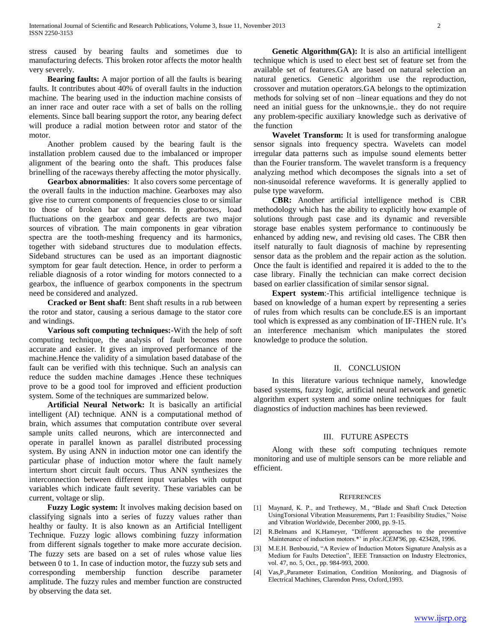stress caused by bearing faults and sometimes due to manufacturing defects. This broken rotor affects the motor health very severely.

 **Bearing faults:** A major portion of all the faults is bearing faults. It contributes about 40% of overall faults in the induction machine. The bearing used in the induction machine consists of an inner race and outer race with a set of balls on the rolling elements. Since ball bearing support the rotor, any bearing defect will produce a radial motion between rotor and stator of the motor.

Another problem caused by the bearing fault is the installation problem caused due to the imbalanced or improper alignment of the bearing onto the shaft. This produces false brinelling of the raceways thereby affecting the motor physically.

 **Gearbox abnormalities**: It also covers some percentage of the overall faults in the induction machine. Gearboxes may also give rise to current components of frequencies close to or similar to those of broken bar components. In gearboxes, load fluctuations on the gearbox and gear defects are two major sources of vibration. The main components in gear vibration spectra are the tooth-meshing frequency and its harmonics, together with sideband structures due to modulation effects. Sideband structures can be used as an important diagnostic symptom for gear fault detection. Hence, in order to perform a reliable diagnosis of a rotor winding for motors connected to a gearbox, the influence of gearbox components in the spectrum need be considered and analyzed.

 **Cracked or Bent shaft**: Bent shaft results in a rub between the rotor and stator, causing a serious damage to the stator core and windings.

 **Various soft computing techniques:-**With the help of soft computing technique, the analysis of fault becomes more accurate and easier. It gives an improved performance of the machine.Hence the validity of a simulation based database of the fault can be verified with this technique. Such an analysis can reduce the sudden machine damages .Hence these techniques prove to be a good tool for improved and efficient production system. Some of the techniques are summarized below.

 **Artificial Neural Network:** It is basically an artificial intelligent (AI) technique. ANN is a computational method of brain, which assumes that computation contribute over several sample units called neurons, which are interconnected and operate in parallel known as parallel distributed processing system. By using ANN in induction motor one can identify the particular phase of induction motor where the fault namely interturn short circuit fault occurs. Thus ANN synthesizes the interconnection between different input variables with output variables which indicate fault severity. These variables can be current, voltage or slip.

 **Fuzzy Logic system:** It involves making decision based on classifying signals into a series of fuzzy values rather than healthy or faulty. It is also known as an Artificial Intelligent Technique. Fuzzy logic allows combining fuzzy information from different signals together to make more accurate decision. The fuzzy sets are based on a set of rules whose value lies between 0 to 1. In case of induction motor, the fuzzy sub sets and corresponding membership function describe parameter amplitude. The fuzzy rules and member function are constructed by observing the data set.

 **Genetic Algorithm(GA):** It is also an artificial intelligent technique which is used to elect best set of feature set from the available set of features.GA are based on natural selection an natural genetics. Genetic algorithm use the reproduction, crossover and mutation operators.GA belongs to the optimization methods for solving set of non –linear equations and they do not need an initial guess for the unknowns,ie.. they do not require any problem-specific auxiliary knowledge such as derivative of the function

 **Wavelet Transform:** It is used for transforming analogue sensor signals into frequency spectra. Wavelets can model irregular data patterns such as impulse sound elements better than the Fourier transform. The wavelet transform is a frequency analyzing method which decomposes the signals into a set of non-sinusoidal reference waveforms. It is generally applied to pulse type waveform.

 **CBR:** Another artificial intelligence method is CBR methodology which has the ability to explicitly how example of solutions through past case and its dynamic and reversible storage base enables system performance to continuously be enhanced by adding new, and revising old cases. The CBR then itself naturally to fault diagnosis of machine by representing sensor data as the problem and the repair action as the solution. Once the fault is identified and repaired it is added to the to the case library. Finally the technician can make correct decision based on earlier classification of similar sensor signal.

 **Expert system**:-This artificial intelligence technique is based on knowledge of a human expert by representing a series of rules from which results can be conclude.ES is an important tool which is expressed as any combination of IF-THEN rule. It's an interference mechanism which manipulates the stored knowledge to produce the solution.

#### II. CONCLUSION

In this literature various technique namely, knowledge based systems, fuzzy logic, artificial neural network and genetic algorithm expert system and some online techniques for fault diagnostics of induction machines has been reviewed.

## III. FUTURE ASPECTS

Along with these soft computing techniques remote monitoring and use of multiple sensors can be more reliable and efficient.

#### **REFERENCES**

- [1] Maynard, K. P., and Trethewey, M., "Blade and Shaft Crack Detection UsingTorsional Vibration Measurements, Part 1: Feasibility Studies," Noise and Vibration Worldwide, December 2000, pp. 9-15.
- [2] R.Belmans and K.Hameyer, "Different approaches to the preventive Maintenance of induction motors.\*' in *ploc.lCEM'96,* pp. 423428, 1996.
- [3] M.E.H. Benbouzid, "A Review of Induction Motors Signature Analysis as a Medium for Faults Detection", IEEE Transaction on Industry Electronics, vol. 47, no. 5, Oct., pp. 984-993, 2000.
- [4] Vas,P.,Parameter Estimation, Condition Monitoring, and Diagnosis of Electrical Machines, Clarendon Press, Oxford,1993.